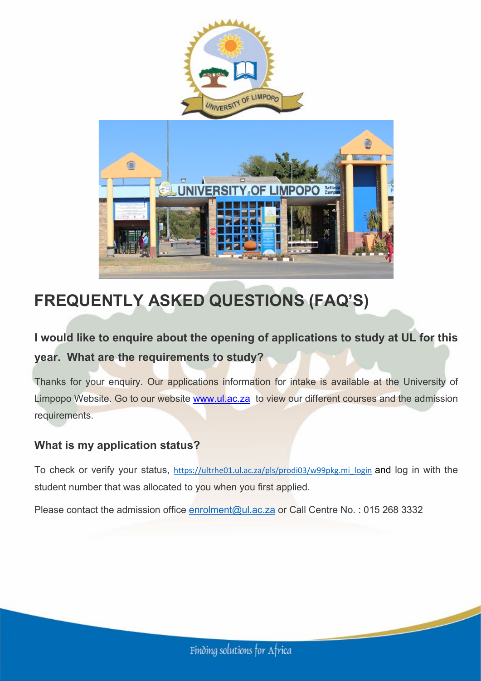

# **FREQUENTLY ASKED QUESTIONS (FAQ'S)**

# **I would like to enquire about the opening of applications to study at UL for this year. What are the requirements to study?**

Thanks for your enquiry. Our applications information for intake is available at the University of Limpopo Website. Go to our website [www.ul.ac.za](http://www.ul.ac.za/) to view our different courses and the admission requirements.

# **What is my application status?**

To check or verify your status, [https://ultrhe01.ul.ac.za/pls/prodi03/w99pkg.mi\\_login](https://ultrhe01.ul.ac.za/pls/prodi03/w99pkg.mi_login) and log in with the student number that was allocated to you when you first applied.

Please contact the admission office [enrolment@ul.ac.za](mailto:enrolment@ul.ac.za) or Call Centre No.: 015 268 3332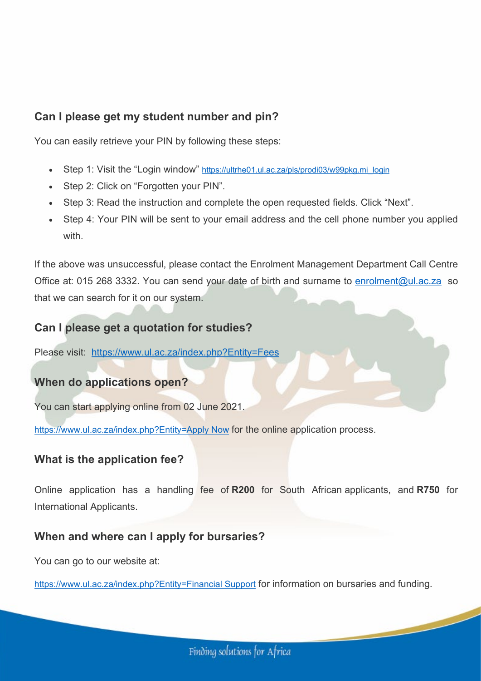### **Can I please get my student number and pin?**

You can easily retrieve your PIN by following these steps:

- Step 1: Visit the "Login window" [https://ultrhe01.ul.ac.za/pls/prodi03/w99pkg.mi\\_login](https://ultrhe01.ul.ac.za/pls/prodi03/w99pkg.mi_login)
- Step 2: Click on "Forgotten your PIN".
- Step 3: Read the instruction and complete the open requested fields. Click "Next".
- Step 4: Your PIN will be sent to your email address and the cell phone number you applied with

If the above was unsuccessful, please contact the Enrolment Management Department Call Centre Office at: 015 268 3332. You can send your date of birth and surname to [enrolment@ul.ac.za](mailto:enrolment@ul.ac.za) so that we can search for it on our system.

### **Can I please get a quotation for studies?**

Please visit: [https://www.ul.ac.za/index.php?Entity=Fees](https://www.ul.ac.za/index.php?Entity=Fees#Start)

# **When do applications open?**

You can start applying online from 02 June 2021.

[https://www.ul.ac.za/index.php?Entity=Apply Now](https://www.ul.ac.za/index.php?Entity=Apply%20Now#Start) for the online application process.

### **What is the application fee?**

Online application has a handling fee of **R200** for South African applicants, and **R750** for International Applicants.

### **When and where can I apply for bursaries?**

You can go to our website at:

[https://www.ul.ac.za/index.php?Entity=Financial Support](https://www.ul.ac.za/index.php?Entity=Financial%20Support#Start) for information on bursaries and funding.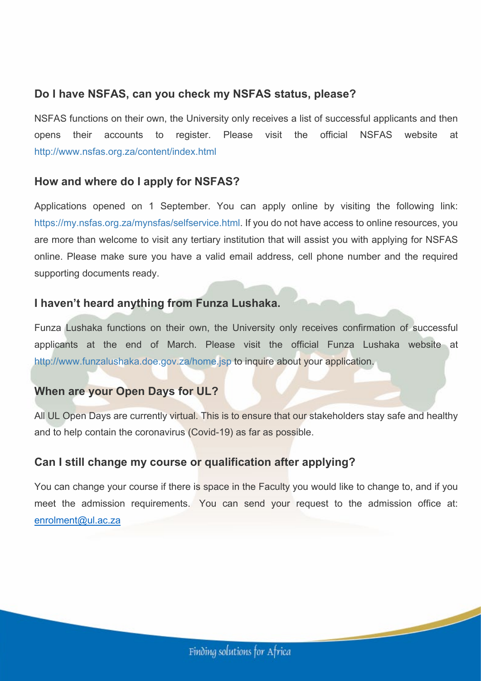### **Do I have NSFAS, can you check my NSFAS status, please?**

NSFAS functions on their own, the University only receives a list of successful applicants and then opens their accounts to register. Please visit the official NSFAS website at <http://www.nsfas.org.za/content/index.html>

#### **How and where do I apply for NSFAS?**

Applications opened on 1 September. You can apply online by visiting the following link: [https://my.nsfas.org.za/mynsfas/selfservice.html.](https://my.nsfas.org.za/mynsfas/selfservice.html) If you do not have access to online resources, you are more than welcome to visit any tertiary institution that will assist you with applying for NSFAS online. Please make sure you have a valid email address, cell phone number and the required supporting documents ready.

#### **I haven't heard anything from Funza Lushaka.**

Funza Lushaka functions on their own, the University only receives confirmation of successful applicants at the end of March. Please visit the official Funza Lushaka website at <http://www.funzalushaka.doe.gov.za/home.jsp> to inquire about your application.

### **When are your Open Days for UL?**

All UL Open Days are currently virtual. This is to ensure that our stakeholders stay safe and healthy and to help contain the coronavirus (Covid-19) as far as possible.

### **Can I still change my course or qualification after applying?**

You can change your course if there is space in the Faculty you would like to change to, and if you meet the admission requirements. You can send your request to the admission office at: [enrolment@ul.ac.za](mailto:enrolment@ul.ac.za)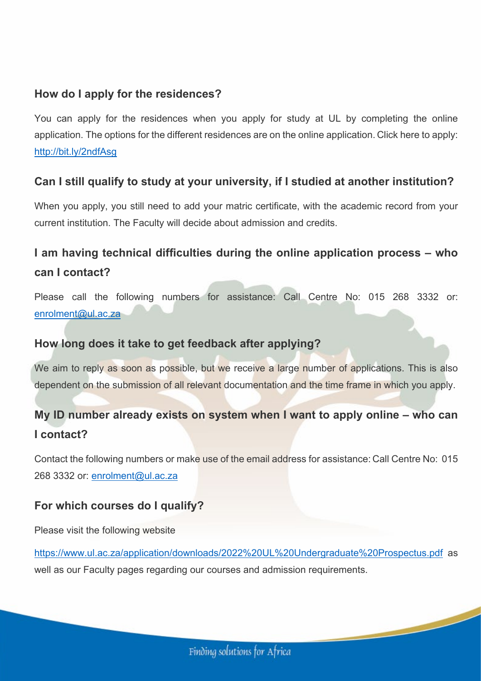### **How do I apply for the residences?**

You can apply for the residences when you apply for study at UL by completing the online application. The options for the different residences are on the online application. Click here to apply: <http://bit.ly/2ndfAsg>

#### **Can I still qualify to study at your university, if I studied at another institution?**

When you apply, you still need to add your matric certificate, with the academic record from your current institution. The Faculty will decide about admission and credits.

# **I am having technical difficulties during the online application process – who can I contact?**

Please call the following numbers for assistance: Call Centre No: 015 268 3332 or: [enrolment@ul.ac.za](mailto:enrolment@ul.ac.za)

#### **How long does it take to get feedback after applying?**

We aim to reply as soon as possible, but we receive a large number of applications. This is also dependent on the submission of all relevant documentation and the time frame in which you apply.

# **My ID number already exists on system when I want to apply online – who can I contact?**

Contact the following numbers or make use of the email address for assistance: Call Centre No: 015 268 3332 or: [enrolment@ul.ac.za](mailto:enrolment@ul.ac.za)

### **For which courses do I qualify?**

Please visit the following website

<https://www.ul.ac.za/application/downloads/2022%20UL%20Undergraduate%20Prospectus.pdf> as well as our Faculty pages regarding our courses and admission requirements.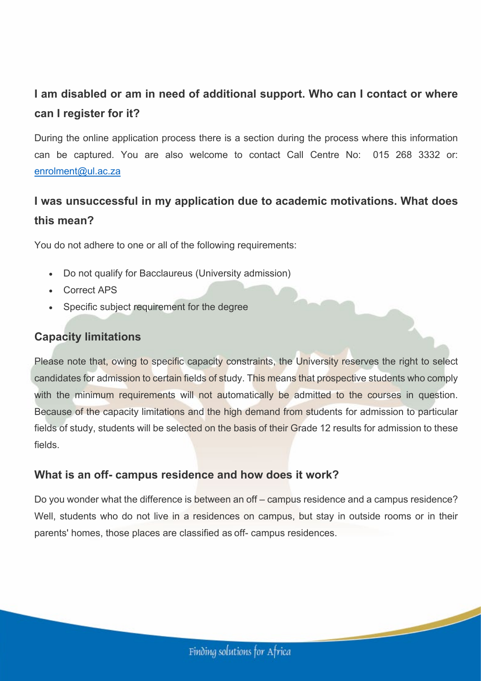# **I am disabled or am in need of additional support. Who can I contact or where can I register for it?**

During the online application process there is a section during the process where this information can be captured. You are also welcome to contact Call Centre No: 015 268 3332 or: [enrolment@ul.ac.za](mailto:enrolment@ul.ac.za)

# **I was unsuccessful in my application due to academic motivations. What does this mean?**

You do not adhere to one or all of the following requirements:

- Do not qualify for Bacclaureus (University admission)
- Correct APS
- Specific subject requirement for the degree

### **Capacity limitations**

Please note that, owing to specific capacity constraints, the University reserves the right to select candidates for admission to certain fields of study. This means that prospective students who comply with the minimum requirements will not automatically be admitted to the courses in question. Because of the capacity limitations and the high demand from students for admission to particular fields of study, students will be selected on the basis of their Grade 12 results for admission to these fields.

### **What is an off- campus residence and how does it work?**

Do you wonder what the difference is between an off – campus residence and a campus residence? Well, students who do not live in a residences on campus, but stay in outside rooms or in their parents' homes, those places are classified as off- campus residences.